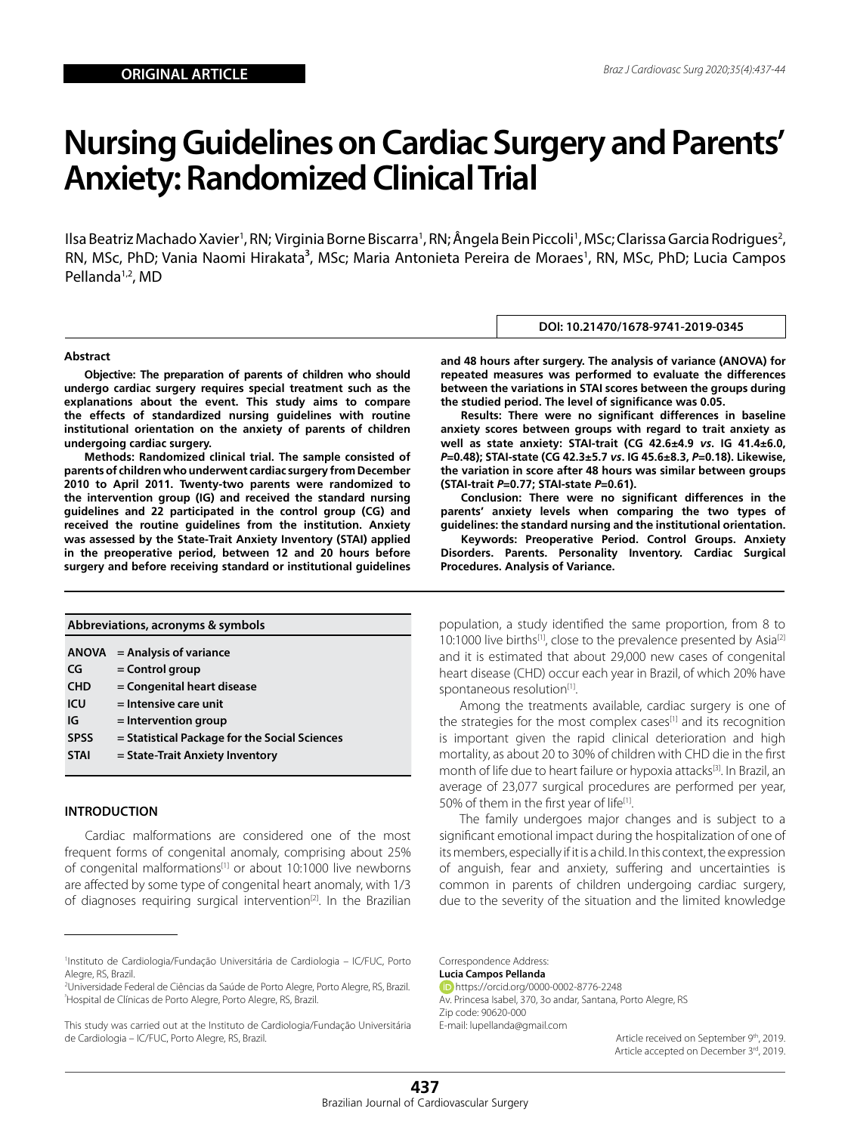# **Nursing Guidelines on Cardiac Surgery and Parents' Anxiety: Randomized Clinical Trial**

llsa Beatriz Machado Xavier', RN; Virginia Borne Biscarra', RN; Ângela Bein Piccoli', MSc; Clarissa Garcia Rodrigues<sup>2</sup>, RN, MSc, PhD; Vania Naomi Hirakata<sup>3</sup>, MSc; Maria Antonieta Pereira de Moraes<sup>1</sup>, RN, MSc, PhD; Lucia Campos Pellanda1,2, MD

#### **Abstract**

**Objective: The preparation of parents of children who should undergo cardiac surgery requires special treatment such as the explanations about the event. This study aims to compare the effects of standardized nursing guidelines with routine institutional orientation on the anxiety of parents of children undergoing cardiac surgery.** 

**Methods: Randomized clinical trial. The sample consisted of parents of children who underwent cardiac surgery from December 2010 to April 2011. Twenty-two parents were randomized to the intervention group (IG) and received the standard nursing guidelines and 22 participated in the control group (CG) and received the routine guidelines from the institution. Anxiety was assessed by the State-Trait Anxiety Inventory (STAI) applied in the preoperative period, between 12 and 20 hours before surgery and before receiving standard or institutional guidelines** 

| Abbreviations, acronyms & symbols |                                               |  |  |  |
|-----------------------------------|-----------------------------------------------|--|--|--|
| <b>ANOVA</b>                      | $=$ Analysis of variance                      |  |  |  |
| CG                                | $=$ Control group                             |  |  |  |
| <b>CHD</b>                        | = Congenital heart disease                    |  |  |  |
| ICU                               | $=$ Intensive care unit                       |  |  |  |
| IG                                | $=$ Intervention group                        |  |  |  |
| <b>SPSS</b>                       | = Statistical Package for the Social Sciences |  |  |  |
| <b>STAI</b>                       | = State-Trait Anxiety Inventory               |  |  |  |
|                                   |                                               |  |  |  |

## **INTRODUCTION**

Cardiac malformations are considered one of the most frequent forms of congenital anomaly, comprising about 25% of congenital malformations<sup>[1]</sup> or about 10:1000 live newborns are affected by some type of congenital heart anomaly, with 1/3 of diagnoses requiring surgical intervention<sup>[2]</sup>. In the Brazilian

**and 48 hours after surgery. The analysis of variance (ANOVA) for repeated measures was performed to evaluate the differences between the variations in STAI scores between the groups during the studied period. The level of significance was 0.05.** 

**DOI: 10.21470/1678-9741-2019-0345**

**Results: There were no significant differences in baseline anxiety scores between groups with regard to trait anxiety as well as state anxiety: STAI-trait (CG 42.6±4.9** *vs***. IG 41.4±6.0,**  *P***=0.48); STAI-state (CG 42.3±5.7** *vs***. IG 45.6±8.3,** *P***=0.18). Likewise, the variation in score after 48 hours was similar between groups (STAI-trait** *P***=0.77; STAI-state** *P***=0.61).** 

**Conclusion: There were no significant differences in the parents' anxiety levels when comparing the two types of guidelines: the standard nursing and the institutional orientation.**

**Keywords: Preoperative Period. Control Groups. Anxiety Disorders. Parents. Personality Inventory. Cardiac Surgical Procedures. Analysis of Variance.** 

population, a study identified the same proportion, from 8 to 10:1000 live births<sup>[1]</sup>, close to the prevalence presented by Asia<sup>[2]</sup> and it is estimated that about 29,000 new cases of congenital heart disease (CHD) occur each year in Brazil, of which 20% have spontaneous resolution<sup>[1]</sup>.

Among the treatments available, cardiac surgery is one of the strategies for the most complex cases<sup>[1]</sup> and its recognition is important given the rapid clinical deterioration and high mortality, as about 20 to 30% of children with CHD die in the first month of life due to heart failure or hypoxia attacks<sup>[3]</sup>. In Brazil, an average of 23,077 surgical procedures are performed per year, 50% of them in the first year of life<sup>[1]</sup>.

The family undergoes major changes and is subject to a significant emotional impact during the hospitalization of one of its members, especially if it is a child. In this context, the expression of anguish, fear and anxiety, suffering and uncertainties is common in parents of children undergoing cardiac surgery, due to the severity of the situation and the limited knowledge

Correspondence Address: **Lucia Campos Pellanda**

https://orcid.org/0000-0002-8776-2248 Av. Princesa Isabel, 370, 3o andar, Santana, Porto Alegre, RS Zip code: 90620-000 E-mail: lupellanda@gmail.com

Article received on September 9th, 2019. Article accepted on December 3rd, 2019.

<sup>1</sup> Instituto de Cardiologia/Fundação Universitária de Cardiologia – IC/FUC, Porto Alegre, RS, Brazil.

<sup>2</sup> Universidade Federal de Ciências da Saúde de Porto Alegre, Porto Alegre, RS, Brazil. ³ Hospital de Clínicas de Porto Alegre, Porto Alegre, RS, Brazil.

This study was carried out at the Instituto de Cardiologia/Fundação Universitária de Cardiologia – IC/FUC, Porto Alegre, RS, Brazil.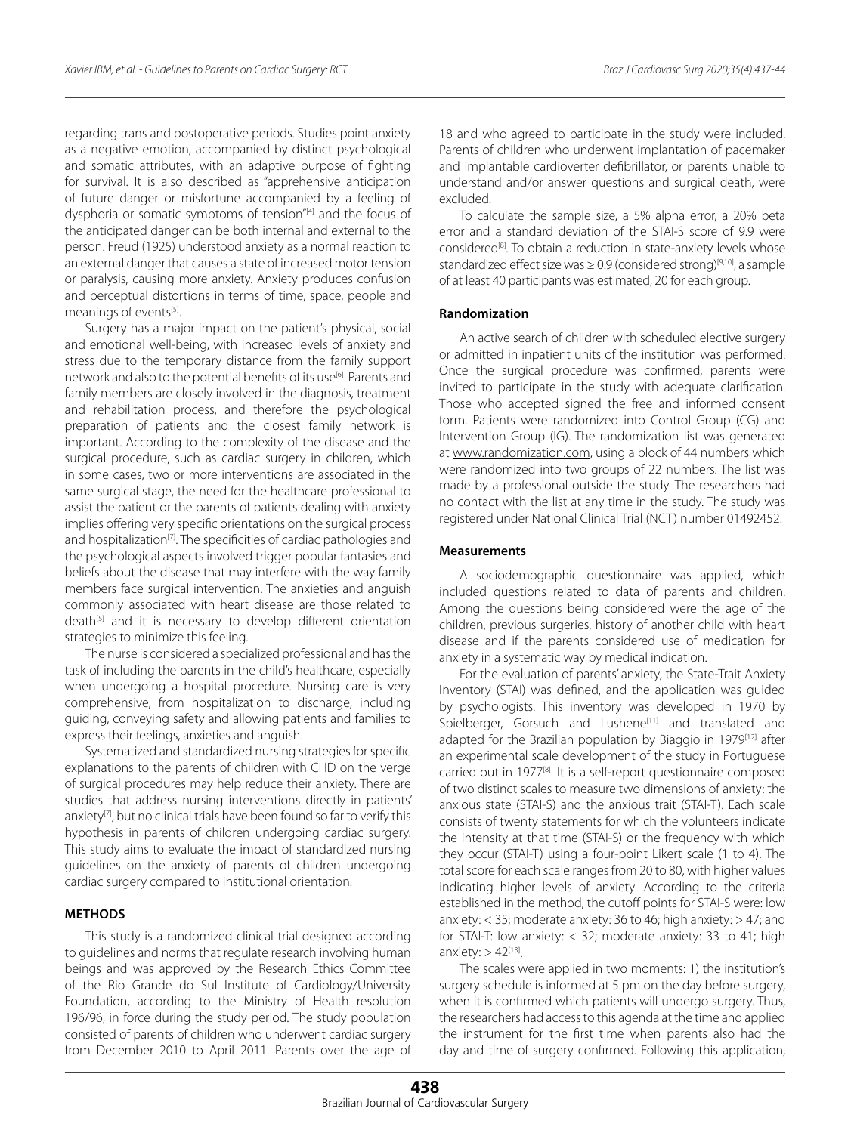regarding trans and postoperative periods. Studies point anxiety as a negative emotion, accompanied by distinct psychological and somatic attributes, with an adaptive purpose of fighting for survival. It is also described as "apprehensive anticipation of future danger or misfortune accompanied by a feeling of dysphoria or somatic symptoms of tension"<sup>[4]</sup> and the focus of the anticipated danger can be both internal and external to the person. Freud (1925) understood anxiety as a normal reaction to an external danger that causes a state of increased motor tension or paralysis, causing more anxiety. Anxiety produces confusion and perceptual distortions in terms of time, space, people and meanings of events<sup>[5]</sup>.

Surgery has a major impact on the patient's physical, social and emotional well-being, with increased levels of anxiety and stress due to the temporary distance from the family support network and also to the potential benefits of its use<sup>[6]</sup>. Parents and family members are closely involved in the diagnosis, treatment and rehabilitation process, and therefore the psychological preparation of patients and the closest family network is important. According to the complexity of the disease and the surgical procedure, such as cardiac surgery in children, which in some cases, two or more interventions are associated in the same surgical stage, the need for the healthcare professional to assist the patient or the parents of patients dealing with anxiety implies offering very specific orientations on the surgical process and hospitalization<sup>[7]</sup>. The specificities of cardiac pathologies and the psychological aspects involved trigger popular fantasies and beliefs about the disease that may interfere with the way family members face surgical intervention. The anxieties and anguish commonly associated with heart disease are those related to death<sup>[5]</sup> and it is necessary to develop different orientation strategies to minimize this feeling.

The nurse is considered a specialized professional and has the task of including the parents in the child's healthcare, especially when undergoing a hospital procedure. Nursing care is very comprehensive, from hospitalization to discharge, including guiding, conveying safety and allowing patients and families to express their feelings, anxieties and anguish.

Systematized and standardized nursing strategies for specific explanations to the parents of children with CHD on the verge of surgical procedures may help reduce their anxiety. There are studies that address nursing interventions directly in patients' anxiety $[7]$ , but no clinical trials have been found so far to verify this hypothesis in parents of children undergoing cardiac surgery. This study aims to evaluate the impact of standardized nursing guidelines on the anxiety of parents of children undergoing cardiac surgery compared to institutional orientation.

# **METHODS**

This study is a randomized clinical trial designed according to guidelines and norms that regulate research involving human beings and was approved by the Research Ethics Committee of the Rio Grande do Sul Institute of Cardiology/University Foundation, according to the Ministry of Health resolution 196/96, in force during the study period. The study population consisted of parents of children who underwent cardiac surgery from December 2010 to April 2011. Parents over the age of 18 and who agreed to participate in the study were included. Parents of children who underwent implantation of pacemaker and implantable cardioverter defibrillator, or parents unable to understand and/or answer questions and surgical death, were excluded.

To calculate the sample size, a 5% alpha error, a 20% beta error and a standard deviation of the STAI-S score of 9.9 were considered<sup>[8]</sup>. To obtain a reduction in state-anxiety levels whose standardized effect size was  $\geq$  0.9 (considered strong)<sup>[9,10]</sup>, a sample of at least 40 participants was estimated, 20 for each group.

#### **Randomization**

An active search of children with scheduled elective surgery or admitted in inpatient units of the institution was performed. Once the surgical procedure was confirmed, parents were invited to participate in the study with adequate clarification. Those who accepted signed the free and informed consent form. Patients were randomized into Control Group (CG) and Intervention Group (IG). The randomization list was generated at [www.randomization.com](http://www.randomization.com), using a block of 44 numbers which were randomized into two groups of 22 numbers. The list was made by a professional outside the study. The researchers had no contact with the list at any time in the study. The study was registered under National Clinical Trial (NCT) number 01492452.

#### **Measurements**

A sociodemographic questionnaire was applied, which included questions related to data of parents and children. Among the questions being considered were the age of the children, previous surgeries, history of another child with heart disease and if the parents considered use of medication for anxiety in a systematic way by medical indication.

For the evaluation of parents' anxiety, the State-Trait Anxiety Inventory (STAI) was defined, and the application was guided by psychologists. This inventory was developed in 1970 by Spielberger, Gorsuch and Lushene<sup>[11]</sup> and translated and adapted for the Brazilian population by Biaggio in 1979<sup>[12]</sup> after an experimental scale development of the study in Portuguese carried out in 1977[8]. It is a self-report questionnaire composed of two distinct scales to measure two dimensions of anxiety: the anxious state (STAI-S) and the anxious trait (STAI-T). Each scale consists of twenty statements for which the volunteers indicate the intensity at that time (STAI-S) or the frequency with which they occur (STAI-T) using a four-point Likert scale (1 to 4). The total score for each scale ranges from 20 to 80, with higher values indicating higher levels of anxiety. According to the criteria established in the method, the cutoff points for STAI-S were: low anxiety: < 35; moderate anxiety: 36 to 46; high anxiety: > 47; and for STAI-T: low anxiety: < 32; moderate anxiety: 33 to 41; high anxiety:  $> 42^{[13]}$ .

The scales were applied in two moments: 1) the institution's surgery schedule is informed at 5 pm on the day before surgery, when it is confirmed which patients will undergo surgery. Thus, the researchers had access to this agenda at the time and applied the instrument for the first time when parents also had the day and time of surgery confirmed. Following this application,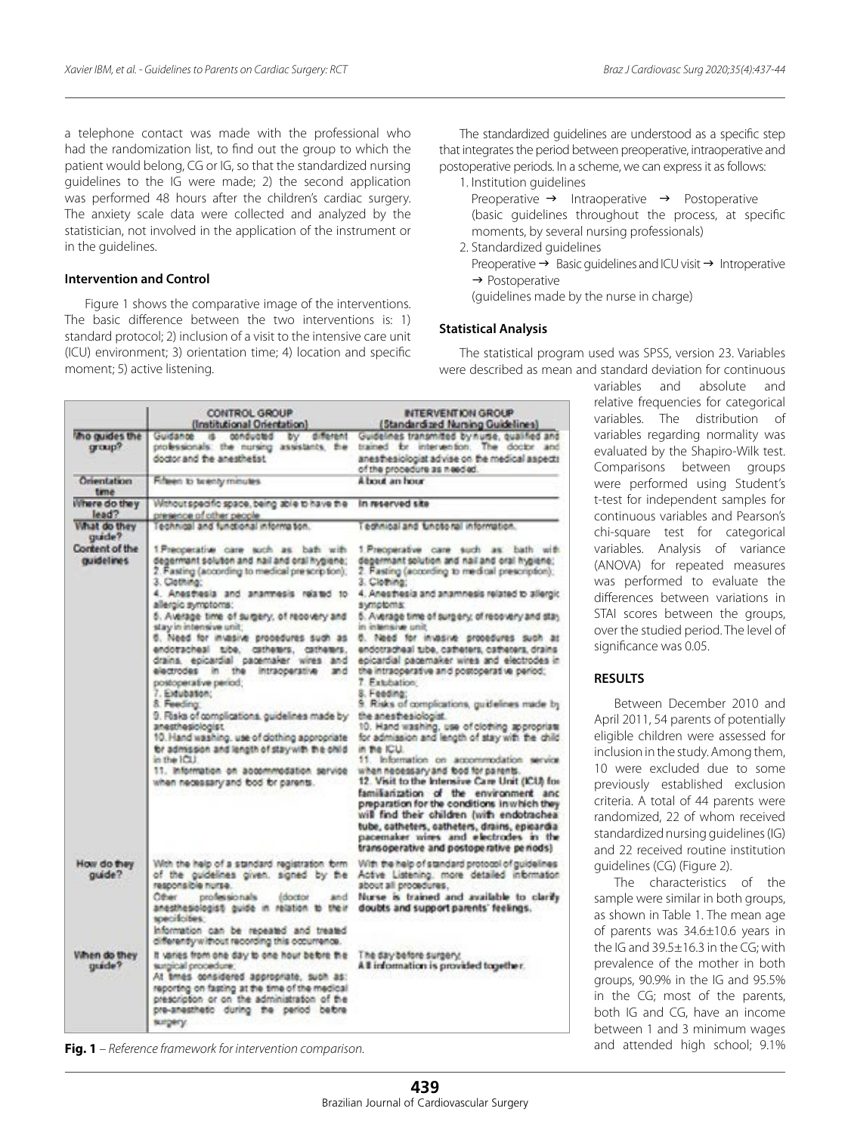a telephone contact was made with the professional who had the randomization list, to find out the group to which the patient would belong, CG or IG, so that the standardized nursing guidelines to the IG were made; 2) the second application was performed 48 hours after the children's cardiac surgery. The anxiety scale data were collected and analyzed by the statistician, not involved in the application of the instrument or in the guidelines.

## **Intervention and Control**

Figure 1 shows the comparative image of the interventions. The basic difference between the two interventions is: 1) standard protocol; 2) inclusion of a visit to the intensive care unit (ICU) environment; 3) orientation time; 4) location and specific moment; 5) active listening.

The standardized guidelines are understood as a specific step that integrates the period between preoperative, intraoperative and postoperative periods. In a scheme, we can express it as follows:

1. Institution guidelines

Preoperative  $\rightarrow$  Intraoperative  $\rightarrow$  Postoperative (basic guidelines throughout the process, at specific moments, by several nursing professionals)

- 2. Standardized guidelines
	- Preoperative  $\rightarrow$  Basic guidelines and ICU visit  $\rightarrow$  Introperative  $\rightarrow$  Postoperative
	- (guidelines made by the nurse in charge)

# **Statistical Analysis**

The statistical program used was SPSS, version 23. Variables were described as mean and standard deviation for continuous

|                               | CONTROL GROUP<br>(Institutional Orientation)                                                                                                                                                                                                                                       | INTERVENTION GROUP<br>(Standardized Nursing Guidelines)                                                                                                                                                                                                                                                                                                                                                                                                                                                                                                                                                          |
|-------------------------------|------------------------------------------------------------------------------------------------------------------------------------------------------------------------------------------------------------------------------------------------------------------------------------|------------------------------------------------------------------------------------------------------------------------------------------------------------------------------------------------------------------------------------------------------------------------------------------------------------------------------------------------------------------------------------------------------------------------------------------------------------------------------------------------------------------------------------------------------------------------------------------------------------------|
| the quides the<br>group?      | Guidance is conducted by different<br>professionals: the nursing assistants, the<br>doctor and the anesthetist                                                                                                                                                                     | Guidelines transmitted by nume, qualified and<br>trained for intervention. The doctor and<br>anesthesiologist advise on the medical aspects<br>of the procedure as needed.                                                                                                                                                                                                                                                                                                                                                                                                                                       |
| Orientation<br>time           | Fifteen to twenty minutes.                                                                                                                                                                                                                                                         | A bout an hour.                                                                                                                                                                                                                                                                                                                                                                                                                                                                                                                                                                                                  |
| Where do they<br>lead?        | Withoutspecific space, being able to have the<br>presence of other people.                                                                                                                                                                                                         | in reserved site                                                                                                                                                                                                                                                                                                                                                                                                                                                                                                                                                                                                 |
| What do they<br>guide?        | Technical and functional information.                                                                                                                                                                                                                                              | edinical and functional information.                                                                                                                                                                                                                                                                                                                                                                                                                                                                                                                                                                             |
| Content of the<br>quidelines. | 1 Preoperative care such as bath with<br>degermant solution and nail and oral hygiene;<br>2. Fasting (according to medical prescription);<br>3. Clothing:                                                                                                                          | 1.Preoperative care such as: bath with<br>degermant solution and nail and oral hygiene:<br>2. Fasting (according to medical prescription);<br>3. Cleaning:                                                                                                                                                                                                                                                                                                                                                                                                                                                       |
|                               | 4. Anasthesia and ananmesis related to<br>allergic symptoms:                                                                                                                                                                                                                       | 4. Anesthesia and anamnesis related to allergic<br>symptoms:                                                                                                                                                                                                                                                                                                                                                                                                                                                                                                                                                     |
|                               | 5. Average time of surgery, of recovery and<br>stay in intensive unit:                                                                                                                                                                                                             | 5. Average time of surgery, of recovery and stay.<br>in intensive unit                                                                                                                                                                                                                                                                                                                                                                                                                                                                                                                                           |
|                               | 6. Need for invasive procedures such as<br>endotacheal tibe, catheters, catheters,<br>drains, epicardial pagemaker wires and<br>electrodes in the intraoperative<br>and<br>postoperative period;<br>7. Extubation:                                                                 | 5. Need for invasive procedures such as<br>endotracheal tube, catheters, catheters, drains<br>epicardial pagemaker wires and electrodes in<br>the intraoperative and postoperative period;<br>7. Extending<br>8. Feeding:                                                                                                                                                                                                                                                                                                                                                                                        |
|                               | 8. Feeding<br>9. Risks of complications, guidelines made by<br>anesthesiologist.<br>10. Hand washing, use of dothing appropriate<br>br admsson and length of stay with the child<br>in the ICLI.<br>11. Information on abcommodation service<br>when necessary and bod br parents. | 9. Risks of complications, guidelines made by<br>the anesthesiologist.<br>10. Hand washing, use of clothing appropriate<br>for admission and length of stay with the child.<br>in the ICU.<br>11. Information on accommodation service<br>when necessary and food for parents.<br>12. Visit to the Intensive Care Unit (ICU) for<br>familiarization of the environment and<br>preparation for the conditions in which they<br>will find their children (with endotrachea)<br>tube, catheters, catheters, drains, epicardia<br>pacemaker wires and electrodes in the<br>transoperative and postoperative periods) |
| How do they<br>guide?         | With the help of a standard registration form<br>of the guidelines given, signed by the<br>responsible nurse.<br>Other<br>professionals<br>(doctor<br>and<br>anesthesiologisti guide in relation to their<br>specificities:                                                        | With the help of standard protocol of guidelines<br>Active Listening, more detailed information<br>about all procedures.<br>Nurse is trained and available to clarify<br>doubts and support parents' feelings.                                                                                                                                                                                                                                                                                                                                                                                                   |
|                               | Information can be repeated and treated<br>differently without recording this occurrence.                                                                                                                                                                                          |                                                                                                                                                                                                                                                                                                                                                                                                                                                                                                                                                                                                                  |
| When do they<br>quide?        | It varies from one day to one hour before the<br>surgical procedure:<br>At tmes considered appropriate, such as:<br>reporting on fasting at the time of the medical<br>prescription or on the administration of the<br>pre-anesthetic during the period before<br>surgery.         | The day before surgery.<br>All information is provided together.                                                                                                                                                                                                                                                                                                                                                                                                                                                                                                                                                 |

**Fig. 1** *– Reference framework for intervention comparison.*

variables and absolute and relative frequencies for categorical variables. The distribution of variables regarding normality was evaluated by the Shapiro-Wilk test. Comparisons between groups were performed using Student's t-test for independent samples for continuous variables and Pearson's chi-square test for categorical variables. Analysis of variance (ANOVA) for repeated measures was performed to evaluate the differences between variations in STAI scores between the groups, over the studied period. The level of significance was 0.05.

#### **RESULTS**

Between December 2010 and April 2011, 54 parents of potentially eligible children were assessed for inclusion in the study. Among them, 10 were excluded due to some previously established exclusion criteria. A total of 44 parents were randomized, 22 of whom received standardized nursing guidelines (IG) and 22 received routine institution guidelines (CG) (Figure 2).

The characteristics of the sample were similar in both groups, as shown in Table 1. The mean age of parents was 34.6±10.6 years in the IG and 39.5±16.3 in the CG; with prevalence of the mother in both groups, 90.9% in the IG and 95.5% in the CG; most of the parents, both IG and CG, have an income between 1 and 3 minimum wages and attended high school; 9.1%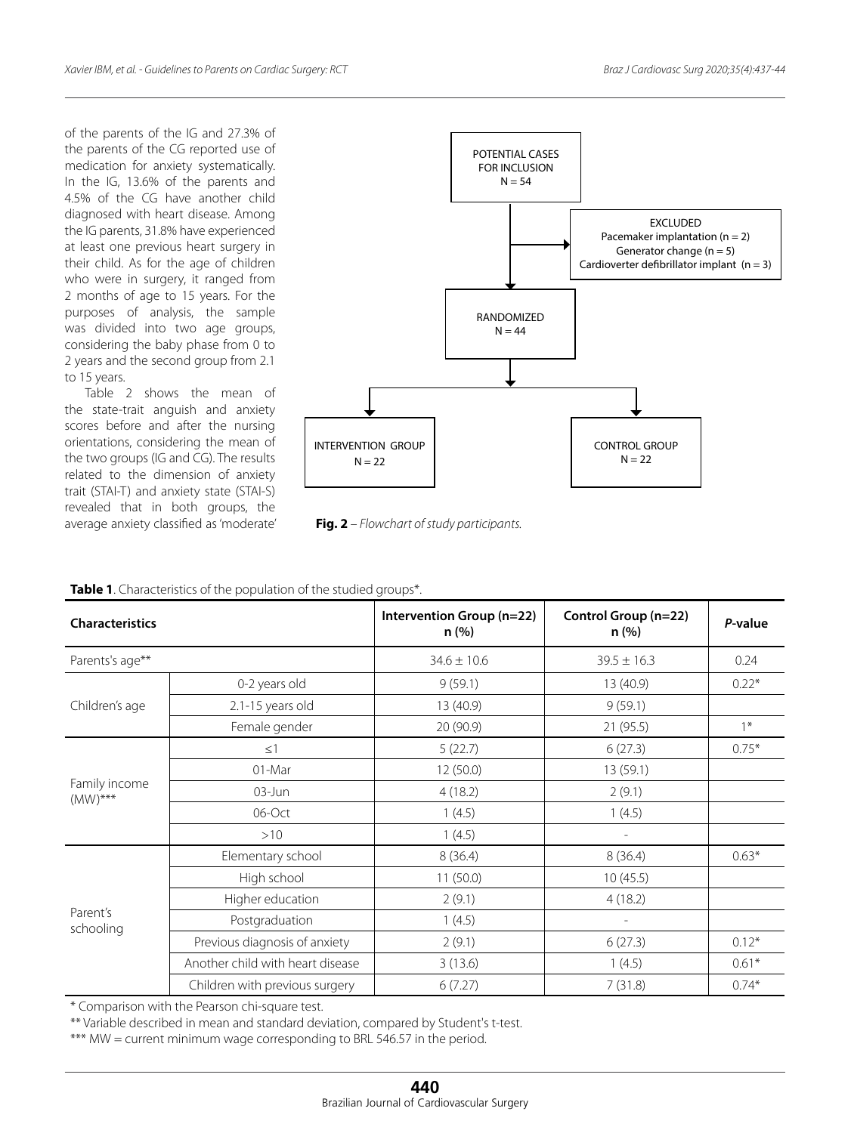of the parents of the IG and 27.3% of the parents of the CG reported use of medication for anxiety systematically. In the IG, 13.6% of the parents and 4.5% of the CG have another child diagnosed with heart disease. Among the IG parents, 31.8% have experienced at least one previous heart surgery in their child. As for the age of children who were in surgery, it ranged from 2 months of age to 15 years. For the purposes of analysis, the sample was divided into two age groups, considering the baby phase from 0 to 2 years and the second group from 2.1 to 15 years.

Table 2 shows the mean of the state-trait anguish and anxiety scores before and after the nursing orientations, considering the mean of the two groups (IG and CG). The results related to the dimension of anxiety trait (STAI-T) and anxiety state (STAI-S) revealed that in both groups, the average anxiety classified as 'moderate' **Fig. 2** *– Flowchart of study participants.*



| Table 1. Characteristics of the population of the studied groups*. |  |
|--------------------------------------------------------------------|--|
|--------------------------------------------------------------------|--|

| <b>Characteristics</b>      |                                  | Intervention Group (n=22)<br>n (%) | Control Group (n=22)<br>n (%) | P-value |
|-----------------------------|----------------------------------|------------------------------------|-------------------------------|---------|
| Parents's age**             |                                  | $34.6 \pm 10.6$                    | $39.5 \pm 16.3$               | 0.24    |
|                             | 0-2 years old                    | 9(59.1)                            | 13 (40.9)                     | $0.22*$ |
| Children's age              | 2.1-15 years old                 | 13 (40.9)                          | 9(59.1)                       |         |
|                             | Female gender                    | 20 (90.9)                          | 21 (95.5)                     | $1*$    |
|                             | $\leq$ 1                         | 5(22.7)                            | 6(27.3)                       | $0.75*$ |
|                             | 01-Mar                           | 12(50.0)                           | 13 (59.1)                     |         |
| Family income<br>$(MW)$ *** | $03$ -Jun                        | 4(18.2)                            | 2(9.1)                        |         |
|                             | 06-Oct                           | 1(4.5)                             | 1(4.5)                        |         |
|                             | >10                              | 1(4.5)                             | $\overline{\phantom{a}}$      |         |
|                             | Elementary school                | 8(36.4)                            | 8(36.4)                       | $0.63*$ |
|                             | High school                      | 11(50.0)                           | 10(45.5)                      |         |
|                             | Higher education                 | 2(9.1)                             | 4(18.2)                       |         |
| Parent's<br>schooling       | Postgraduation                   | 1(4.5)                             |                               |         |
|                             | Previous diagnosis of anxiety    | 2(9.1)                             | 6(27.3)                       | $0.12*$ |
|                             | Another child with heart disease | 3(13.6)                            | 1(4.5)                        | $0.61*$ |
|                             | Children with previous surgery   | 6(7.27)                            | 7(31.8)                       | $0.74*$ |

\* Comparison with the Pearson chi-square test.

\*\* Variable described in mean and standard deviation, compared by Student's t-test.

\*\*\* MW = current minimum wage corresponding to BRL 546.57 in the period.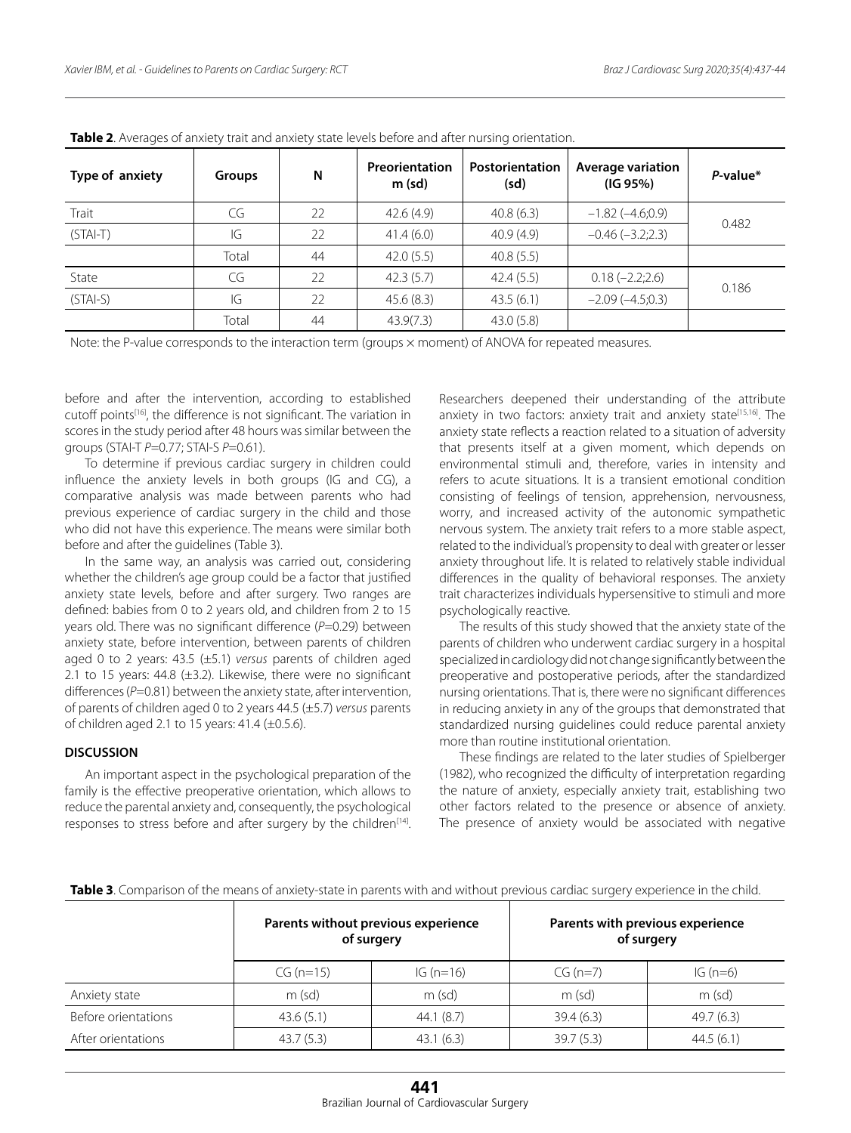| Type of anxiety | <b>Groups</b> | N  | Preorientation<br>$m$ (sd) | Postorientation<br>(sd) | <b>Average variation</b><br>(IG 95%) | $P$ -value* |  |
|-----------------|---------------|----|----------------------------|-------------------------|--------------------------------------|-------------|--|
| Trait           | CG            | 22 | 42.6(4.9)                  | 40.8(6.3)               | $-1.82(-4.6;0.9)$                    |             |  |
| $(STAI-T)$      | IG            | 22 | 41.4(6.0)                  | 40.9(4.9)               | $-0.46$ $(-3.2;2.3)$                 | 0.482       |  |
|                 | Total         | 44 | 42.0(5.5)                  | 40.8(5.5)               |                                      |             |  |
| State           | CG            | 22 | 42.3(5.7)                  | 42.4(5.5)               | $0.18(-2.2;2.6)$                     |             |  |
| $(STAI-S)$      | IG            | 22 | 45.6(8.3)                  | 43.5(6.1)               | $-2.09(-4.5;0.3)$                    | 0.186       |  |
|                 | Total         | 44 | 43.9(7.3)                  | 43.0 (5.8)              |                                      |             |  |

**Table 2**. Averages of anxiety trait and anxiety state levels before and after nursing orientation.

Note: the P-value corresponds to the interaction term (groups × moment) of ANOVA for repeated measures.

before and after the intervention, according to established cutoff points[16], the difference is not significant. The variation in scores in the study period after 48 hours was similar between the groups (STAI-T *P*=0.77; STAI-S *P*=0.61).

To determine if previous cardiac surgery in children could influence the anxiety levels in both groups (IG and CG), a comparative analysis was made between parents who had previous experience of cardiac surgery in the child and those who did not have this experience. The means were similar both before and after the guidelines (Table 3).

In the same way, an analysis was carried out, considering whether the children's age group could be a factor that justified anxiety state levels, before and after surgery. Two ranges are defined: babies from 0 to 2 years old, and children from 2 to 15 years old. There was no significant difference (*P*=0.29) between anxiety state, before intervention, between parents of children aged 0 to 2 years: 43.5 (±5.1) *versus* parents of children aged 2.1 to 15 years: 44.8  $(\pm 3.2)$ . Likewise, there were no significant differences (*P*=0.81) between the anxiety state, after intervention, of parents of children aged 0 to 2 years 44.5 (±5.7) *versus* parents of children aged 2.1 to 15 years:  $41.4$  ( $\pm$ 0.5.6).

#### **DISCUSSION**

An important aspect in the psychological preparation of the family is the effective preoperative orientation, which allows to reduce the parental anxiety and, consequently, the psychological responses to stress before and after surgery by the children<sup>[14]</sup>.

Researchers deepened their understanding of the attribute anxiety in two factors: anxiety trait and anxiety state<sup>[15,16]</sup>. The anxiety state reflects a reaction related to a situation of adversity that presents itself at a given moment, which depends on environmental stimuli and, therefore, varies in intensity and refers to acute situations. It is a transient emotional condition consisting of feelings of tension, apprehension, nervousness, worry, and increased activity of the autonomic sympathetic nervous system. The anxiety trait refers to a more stable aspect, related to the individual's propensity to deal with greater or lesser anxiety throughout life. It is related to relatively stable individual differences in the quality of behavioral responses. The anxiety trait characterizes individuals hypersensitive to stimuli and more psychologically reactive.

The results of this study showed that the anxiety state of the parents of children who underwent cardiac surgery in a hospital specialized in cardiology did not change significantly between the preoperative and postoperative periods, after the standardized nursing orientations. That is, there were no significant differences in reducing anxiety in any of the groups that demonstrated that standardized nursing guidelines could reduce parental anxiety more than routine institutional orientation.

These findings are related to the later studies of Spielberger (1982), who recognized the difficulty of interpretation regarding the nature of anxiety, especially anxiety trait, establishing two other factors related to the presence or absence of anxiety. The presence of anxiety would be associated with negative

|                     |             | Parents without previous experience<br>of surgery | Parents with previous experience<br>of surgery |            |  |
|---------------------|-------------|---------------------------------------------------|------------------------------------------------|------------|--|
|                     | $CG (n=15)$ | IG $(n=16)$                                       | $CG (n=7)$                                     | IG $(n=6)$ |  |
| Anxiety state       | $m$ (sd)    | $m$ (sd)                                          | $m$ (sd)                                       | $m$ (sd)   |  |
| Before orientations | 43.6(5.1)   | 44.1(8.7)                                         | 39.4(6.3)                                      | 49.7(6.3)  |  |
| After orientations  | 43.7(5.3)   | 43.1(6.3)                                         | 39.7(5.3)                                      | 44.5(6.1)  |  |

**Table 3**. Comparison of the means of anxiety-state in parents with and without previous cardiac surgery experience in the child.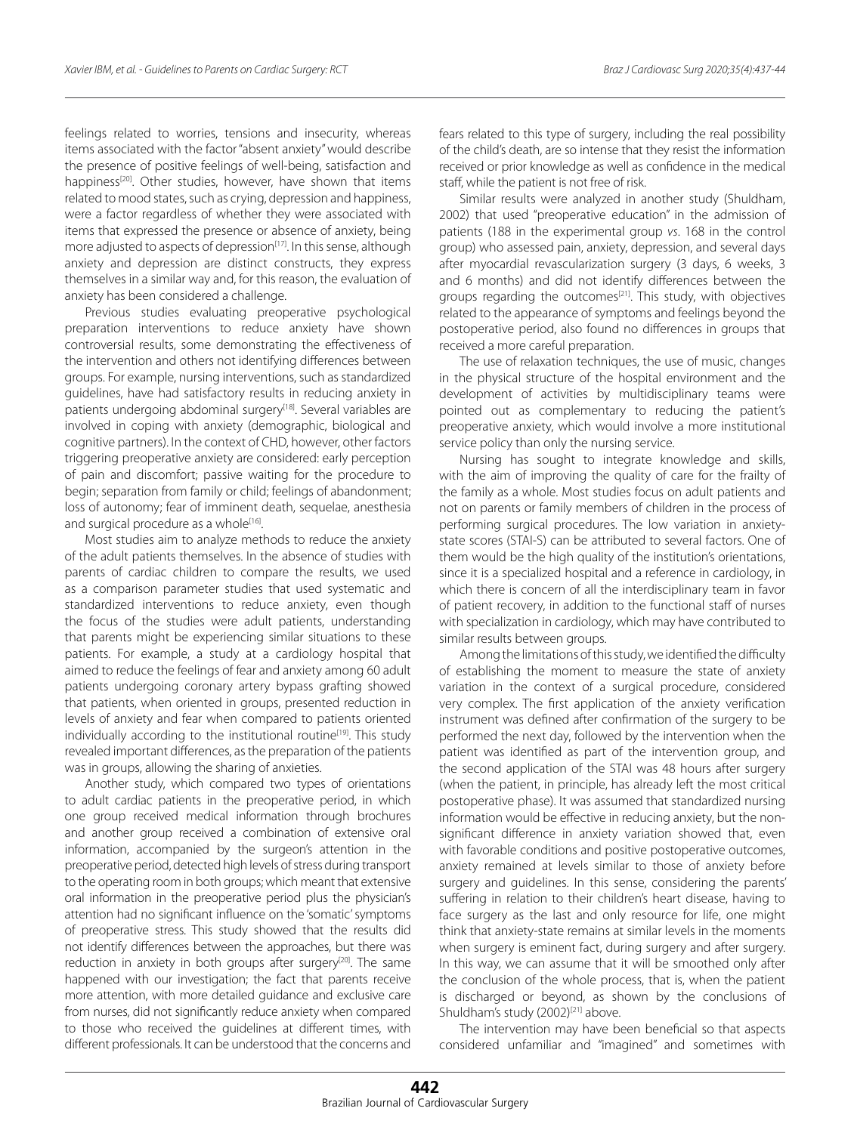feelings related to worries, tensions and insecurity, whereas items associated with the factor "absent anxiety" would describe the presence of positive feelings of well-being, satisfaction and happiness<sup>[20]</sup>. Other studies, however, have shown that items related to mood states, such as crying, depression and happiness, were a factor regardless of whether they were associated with items that expressed the presence or absence of anxiety, being more adjusted to aspects of depression $[17]$ . In this sense, although anxiety and depression are distinct constructs, they express themselves in a similar way and, for this reason, the evaluation of anxiety has been considered a challenge.

Previous studies evaluating preoperative psychological preparation interventions to reduce anxiety have shown controversial results, some demonstrating the effectiveness of the intervention and others not identifying differences between groups. For example, nursing interventions, such as standardized guidelines, have had satisfactory results in reducing anxiety in patients undergoing abdominal surgery<sup>[18]</sup>. Several variables are involved in coping with anxiety (demographic, biological and cognitive partners). In the context of CHD, however, other factors triggering preoperative anxiety are considered: early perception of pain and discomfort; passive waiting for the procedure to begin; separation from family or child; feelings of abandonment; loss of autonomy; fear of imminent death, sequelae, anesthesia and surgical procedure as a whole[16].

Most studies aim to analyze methods to reduce the anxiety of the adult patients themselves. In the absence of studies with parents of cardiac children to compare the results, we used as a comparison parameter studies that used systematic and standardized interventions to reduce anxiety, even though the focus of the studies were adult patients, understanding that parents might be experiencing similar situations to these patients. For example, a study at a cardiology hospital that aimed to reduce the feelings of fear and anxiety among 60 adult patients undergoing coronary artery bypass grafting showed that patients, when oriented in groups, presented reduction in levels of anxiety and fear when compared to patients oriented individually according to the institutional routine<sup>[19]</sup>. This study revealed important differences, as the preparation of the patients was in groups, allowing the sharing of anxieties.

Another study, which compared two types of orientations to adult cardiac patients in the preoperative period, in which one group received medical information through brochures and another group received a combination of extensive oral information, accompanied by the surgeon's attention in the preoperative period, detected high levels of stress during transport to the operating room in both groups; which meant that extensive oral information in the preoperative period plus the physician's attention had no significant influence on the 'somatic' symptoms of preoperative stress. This study showed that the results did not identify differences between the approaches, but there was reduction in anxiety in both groups after surgery<sup>[20]</sup>. The same happened with our investigation; the fact that parents receive more attention, with more detailed guidance and exclusive care from nurses, did not significantly reduce anxiety when compared to those who received the guidelines at different times, with different professionals. It can be understood that the concerns and

fears related to this type of surgery, including the real possibility of the child's death, are so intense that they resist the information received or prior knowledge as well as confidence in the medical staff, while the patient is not free of risk.

Similar results were analyzed in another study (Shuldham, 2002) that used "preoperative education" in the admission of patients (188 in the experimental group *vs*. 168 in the control group) who assessed pain, anxiety, depression, and several days after myocardial revascularization surgery (3 days, 6 weeks, 3 and 6 months) and did not identify differences between the groups regarding the outcomes<sup>[21]</sup>. This study, with objectives related to the appearance of symptoms and feelings beyond the postoperative period, also found no differences in groups that received a more careful preparation.

The use of relaxation techniques, the use of music, changes in the physical structure of the hospital environment and the development of activities by multidisciplinary teams were pointed out as complementary to reducing the patient's preoperative anxiety, which would involve a more institutional service policy than only the nursing service.

Nursing has sought to integrate knowledge and skills, with the aim of improving the quality of care for the frailty of the family as a whole. Most studies focus on adult patients and not on parents or family members of children in the process of performing surgical procedures. The low variation in anxietystate scores (STAI-S) can be attributed to several factors. One of them would be the high quality of the institution's orientations, since it is a specialized hospital and a reference in cardiology, in which there is concern of all the interdisciplinary team in favor of patient recovery, in addition to the functional staff of nurses with specialization in cardiology, which may have contributed to similar results between groups.

Among the limitations of this study, we identified the difficulty of establishing the moment to measure the state of anxiety variation in the context of a surgical procedure, considered very complex. The first application of the anxiety verification instrument was defined after confirmation of the surgery to be performed the next day, followed by the intervention when the patient was identified as part of the intervention group, and the second application of the STAI was 48 hours after surgery (when the patient, in principle, has already left the most critical postoperative phase). It was assumed that standardized nursing information would be effective in reducing anxiety, but the nonsignificant difference in anxiety variation showed that, even with favorable conditions and positive postoperative outcomes, anxiety remained at levels similar to those of anxiety before surgery and guidelines. In this sense, considering the parents' suffering in relation to their children's heart disease, having to face surgery as the last and only resource for life, one might think that anxiety-state remains at similar levels in the moments when surgery is eminent fact, during surgery and after surgery. In this way, we can assume that it will be smoothed only after the conclusion of the whole process, that is, when the patient is discharged or beyond, as shown by the conclusions of Shuldham's study (2002)<sup>[21]</sup> above.

The intervention may have been beneficial so that aspects considered unfamiliar and "imagined" and sometimes with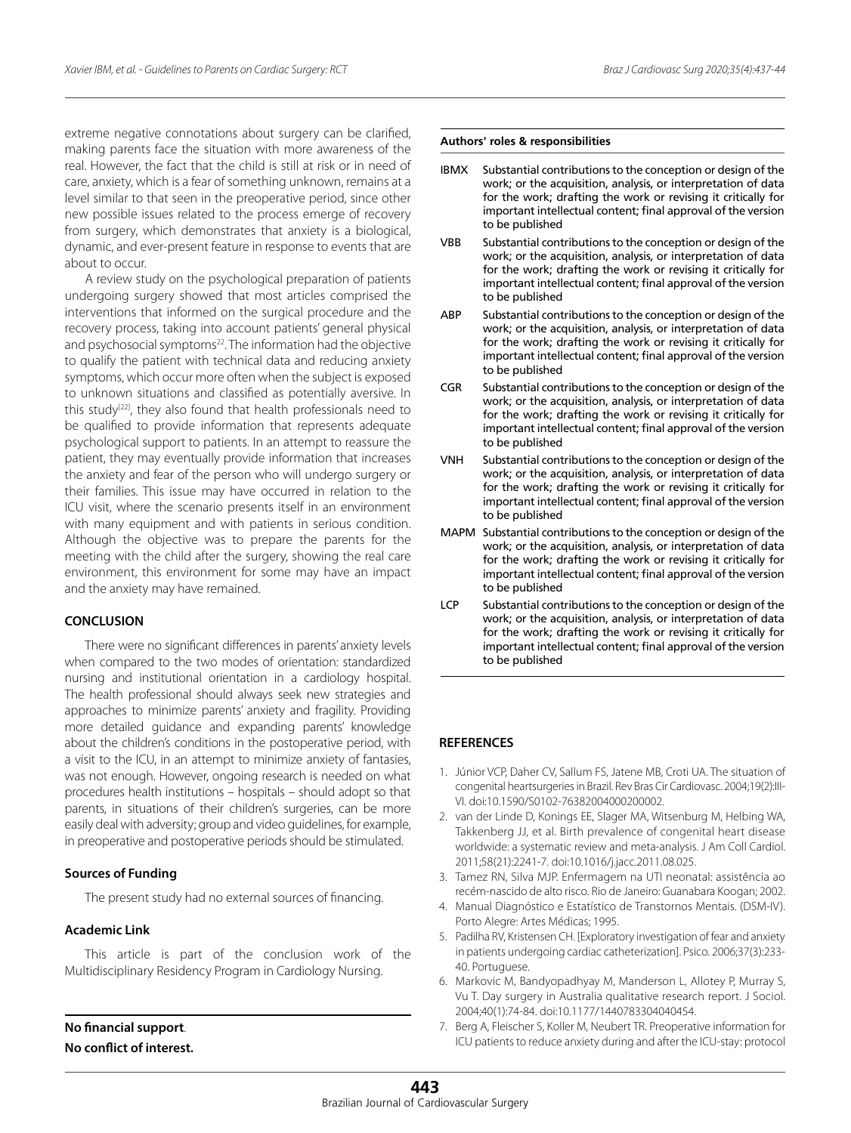extreme negative connotations about surgery can be clarified, making parents face the situation with more awareness of the real. However, the fact that the child is still at risk or in need of care, anxiety, which is a fear of something unknown, remains at a level similar to that seen in the preoperative period, since other new possible issues related to the process emerge of recovery from surgery, which demonstrates that anxiety is a biological, dynamic, and ever-present feature in response to events that are about to occur.

A review study on the psychological preparation of patients undergoing surgery showed that most articles comprised the interventions that informed on the surgical procedure and the recovery process, taking into account patients' general physical and psychosocial symptoms<sup>22</sup>. The information had the objective to qualify the patient with technical data and reducing anxiety symptoms, which occur more often when the subject is exposed to unknown situations and classified as potentially aversive. In this study<sup>[22]</sup>, they also found that health professionals need to be qualified to provide information that represents adequate psychological support to patients. In an attempt to reassure the patient, they may eventually provide information that increases the anxiety and fear of the person who will undergo surgery or their families. This issue may have occurred in relation to the ICU visit, where the scenario presents itself in an environment with many equipment and with patients in serious condition. Although the objective was to prepare the parents for the meeting with the child after the surgery, showing the real care environment, this environment for some may have an impact and the anxiety may have remained.

# **CONCLUSION**

There were no significant differences in parents' anxiety levels when compared to the two modes of orientation: standardized nursing and institutional orientation in a cardiology hospital. The health professional should always seek new strategies and approaches to minimize parents' anxiety and fragility. Providing more detailed guidance and expanding parents' knowledge about the children's conditions in the postoperative period, with a visit to the ICU, in an attempt to minimize anxiety of fantasies, was not enough. However, ongoing research is needed on what procedures health institutions – hospitals – should adopt so that parents, in situations of their children's surgeries, can be more easily deal with adversity; group and video guidelines, for example, in preoperative and postoperative periods should be stimulated.

## **Sources of Funding**

The present study had no external sources of financing.

# **Academic Link**

This article is part of the conclusion work of the Multidisciplinary Residency Program in Cardiology Nursing.

**No financial support**. **No conflict of interest.**

# **Authors' roles & responsibilities**

- IBMX Substantial contributions to the conception or design of the work; or the acquisition, analysis, or interpretation of data for the work; drafting the work or revising it critically for important intellectual content; final approval of the version to be published
- VBB Substantial contributions to the conception or design of the work; or the acquisition, analysis, or interpretation of data for the work; drafting the work or revising it critically for important intellectual content; final approval of the version to be published
- ABP Substantial contributions to the conception or design of the work; or the acquisition, analysis, or interpretation of data for the work; drafting the work or revising it critically for important intellectual content; final approval of the version to be published
- CGR Substantial contributions to the conception or design of the work; or the acquisition, analysis, or interpretation of data for the work; drafting the work or revising it critically for important intellectual content; final approval of the version to be published
- VNH Substantial contributions to the conception or design of the work; or the acquisition, analysis, or interpretation of data for the work; drafting the work or revising it critically for important intellectual content; final approval of the version to be published
- MAPM Substantial contributions to the conception or design of the work; or the acquisition, analysis, or interpretation of data for the work; drafting the work or revising it critically for important intellectual content; final approval of the version to be published
- LCP Substantial contributions to the conception or design of the work; or the acquisition, analysis, or interpretation of data for the work; drafting the work or revising it critically for important intellectual content; final approval of the version to be published

# **REFERENCES**

- 1. Júnior VCP, Daher CV, Sallum FS, Jatene MB, Croti UA. The situation of congenital heartsurgeries in Brazil. Rev Bras Cir Cardiovasc. 2004;19(2):III-VI. doi:10.1590/S0102-76382004000200002.
- 2. van der Linde D, Konings EE, Slager MA, Witsenburg M, Helbing WA, Takkenberg JJ, et al. Birth prevalence of congenital heart disease worldwide: a systematic review and meta-analysis. J Am Coll Cardiol. 2011;58(21):2241-7. doi:10.1016/j.jacc.2011.08.025.
- 3. Tamez RN, Silva MJP. Enfermagem na UTI neonatal: assistência ao recém-nascido de alto risco. Rio de Janeiro: Guanabara Koogan; 2002.
- 4. Manual Diagnóstico e Estatístico de Transtornos Mentais. (DSM-IV). Porto Alegre: Artes Médicas; 1995.
- 5. Padilha RV, Kristensen CH. [Exploratory investigation of fear and anxiety in patients undergoing cardiac catheterization]. Psico. 2006;37(3):233- 40. Portuguese.
- 6. Markovic M, Bandyopadhyay M, Manderson L, Allotey P, Murray S, Vu T. Day surgery in Australia qualitative research report. J Sociol. 2004;40(1):74-84. doi:10.1177/1440783304040454.
- 7. Berg A, Fleischer S, Koller M, Neubert TR. Preoperative information for ICU patients to reduce anxiety during and after the ICU-stay: protocol